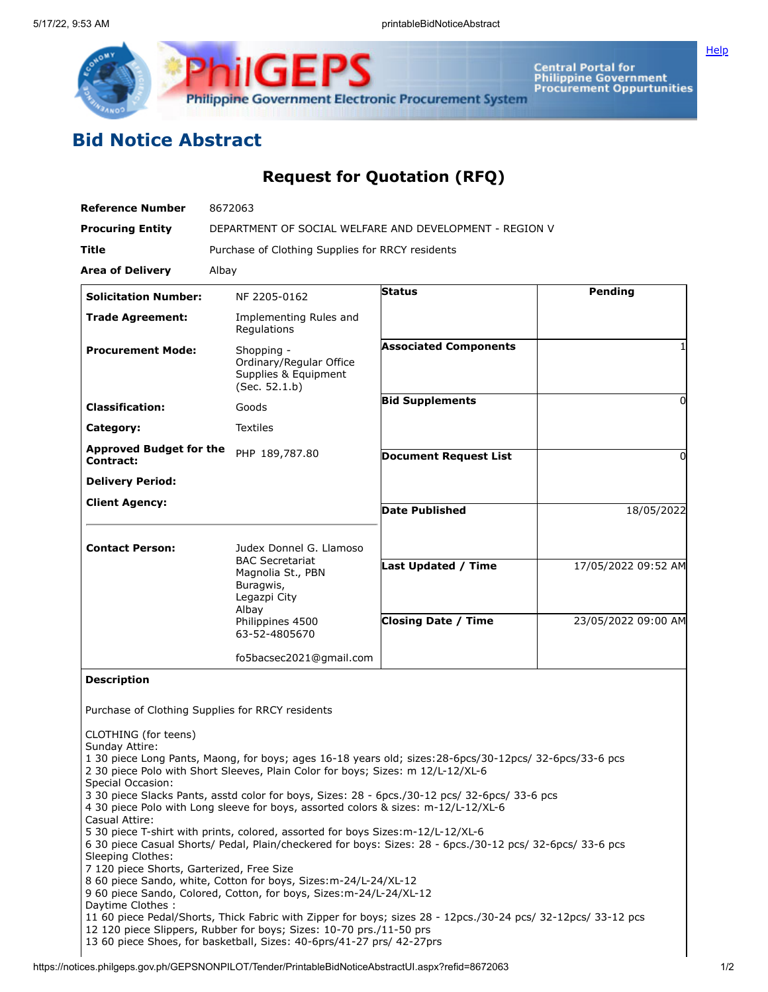

Central Portal for<br>Philippine Government<br>Procurement Oppurtunities

## **Bid Notice Abstract**

## **Request for Quotation (RFQ)**

| <b>Reference Number</b>                                                                                                                                             | 8672063                                                                                                                                                                                                                                                                                                                                                                                                                                                                                                                                                                                                                                                                                                                                                                                                                                                                                                                                                                                       |                              |                     |
|---------------------------------------------------------------------------------------------------------------------------------------------------------------------|-----------------------------------------------------------------------------------------------------------------------------------------------------------------------------------------------------------------------------------------------------------------------------------------------------------------------------------------------------------------------------------------------------------------------------------------------------------------------------------------------------------------------------------------------------------------------------------------------------------------------------------------------------------------------------------------------------------------------------------------------------------------------------------------------------------------------------------------------------------------------------------------------------------------------------------------------------------------------------------------------|------------------------------|---------------------|
| <b>Procuring Entity</b>                                                                                                                                             | DEPARTMENT OF SOCIAL WELFARE AND DEVELOPMENT - REGION V                                                                                                                                                                                                                                                                                                                                                                                                                                                                                                                                                                                                                                                                                                                                                                                                                                                                                                                                       |                              |                     |
| Title                                                                                                                                                               | Purchase of Clothing Supplies for RRCY residents                                                                                                                                                                                                                                                                                                                                                                                                                                                                                                                                                                                                                                                                                                                                                                                                                                                                                                                                              |                              |                     |
| <b>Area of Delivery</b>                                                                                                                                             | Albay                                                                                                                                                                                                                                                                                                                                                                                                                                                                                                                                                                                                                                                                                                                                                                                                                                                                                                                                                                                         |                              |                     |
| <b>Solicitation Number:</b>                                                                                                                                         | NF 2205-0162                                                                                                                                                                                                                                                                                                                                                                                                                                                                                                                                                                                                                                                                                                                                                                                                                                                                                                                                                                                  | <b>Status</b>                | Pending             |
| <b>Trade Agreement:</b>                                                                                                                                             | Implementing Rules and<br>Regulations                                                                                                                                                                                                                                                                                                                                                                                                                                                                                                                                                                                                                                                                                                                                                                                                                                                                                                                                                         |                              |                     |
| <b>Procurement Mode:</b>                                                                                                                                            | Shopping -<br>Ordinary/Regular Office<br>Supplies & Equipment<br>(Sec. 52.1.b)                                                                                                                                                                                                                                                                                                                                                                                                                                                                                                                                                                                                                                                                                                                                                                                                                                                                                                                | <b>Associated Components</b> |                     |
| <b>Classification:</b>                                                                                                                                              | Goods                                                                                                                                                                                                                                                                                                                                                                                                                                                                                                                                                                                                                                                                                                                                                                                                                                                                                                                                                                                         | <b>Bid Supplements</b>       | 0                   |
| Category:                                                                                                                                                           | <b>Textiles</b>                                                                                                                                                                                                                                                                                                                                                                                                                                                                                                                                                                                                                                                                                                                                                                                                                                                                                                                                                                               |                              |                     |
| <b>Approved Budget for the</b><br>Contract:                                                                                                                         | PHP 189,787.80                                                                                                                                                                                                                                                                                                                                                                                                                                                                                                                                                                                                                                                                                                                                                                                                                                                                                                                                                                                | <b>Document Request List</b> | O                   |
| <b>Delivery Period:</b>                                                                                                                                             |                                                                                                                                                                                                                                                                                                                                                                                                                                                                                                                                                                                                                                                                                                                                                                                                                                                                                                                                                                                               |                              |                     |
| <b>Client Agency:</b>                                                                                                                                               |                                                                                                                                                                                                                                                                                                                                                                                                                                                                                                                                                                                                                                                                                                                                                                                                                                                                                                                                                                                               | <b>Date Published</b>        | 18/05/2022          |
| <b>Contact Person:</b>                                                                                                                                              | Judex Donnel G. Llamoso<br><b>BAC Secretariat</b><br>Magnolia St., PBN<br>Buragwis,<br>Legazpi City                                                                                                                                                                                                                                                                                                                                                                                                                                                                                                                                                                                                                                                                                                                                                                                                                                                                                           | Last Updated / Time          | 17/05/2022 09:52 AM |
|                                                                                                                                                                     |                                                                                                                                                                                                                                                                                                                                                                                                                                                                                                                                                                                                                                                                                                                                                                                                                                                                                                                                                                                               |                              |                     |
|                                                                                                                                                                     | Albay<br>Philippines 4500<br>63-52-4805670                                                                                                                                                                                                                                                                                                                                                                                                                                                                                                                                                                                                                                                                                                                                                                                                                                                                                                                                                    | <b>Closing Date / Time</b>   | 23/05/2022 09:00 AM |
|                                                                                                                                                                     | fo5bacsec2021@gmail.com                                                                                                                                                                                                                                                                                                                                                                                                                                                                                                                                                                                                                                                                                                                                                                                                                                                                                                                                                                       |                              |                     |
| <b>Description</b>                                                                                                                                                  |                                                                                                                                                                                                                                                                                                                                                                                                                                                                                                                                                                                                                                                                                                                                                                                                                                                                                                                                                                                               |                              |                     |
|                                                                                                                                                                     | Purchase of Clothing Supplies for RRCY residents                                                                                                                                                                                                                                                                                                                                                                                                                                                                                                                                                                                                                                                                                                                                                                                                                                                                                                                                              |                              |                     |
| CLOTHING (for teens)<br>Sunday Attire:<br>Special Occasion:<br>Casual Attire:<br>Sleeping Clothes:<br>7 120 piece Shorts, Garterized, Free Size<br>Daytime Clothes: | 1 30 piece Long Pants, Maong, for boys; ages 16-18 years old; sizes: 28-6pcs/30-12pcs/ 32-6pcs/33-6 pcs<br>2 30 piece Polo with Short Sleeves, Plain Color for boys; Sizes: m 12/L-12/XL-6<br>3 30 piece Slacks Pants, asstd color for boys, Sizes: 28 - 6pcs./30-12 pcs/ 32-6pcs/ 33-6 pcs<br>4 30 piece Polo with Long sleeve for boys, assorted colors & sizes: m-12/L-12/XL-6<br>5 30 piece T-shirt with prints, colored, assorted for boys Sizes:m-12/L-12/XL-6<br>6 30 piece Casual Shorts/ Pedal, Plain/checkered for boys: Sizes: 28 - 6pcs./30-12 pcs/ 32-6pcs/ 33-6 pcs<br>8 60 piece Sando, white, Cotton for boys, Sizes: m-24/L-24/XL-12<br>9 60 piece Sando, Colored, Cotton, for boys, Sizes: m-24/L-24/XL-12<br>11 60 piece Pedal/Shorts, Thick Fabric with Zipper for boys; sizes 28 - 12pcs./30-24 pcs/ 32-12pcs/ 33-12 pcs<br>12 120 piece Slippers, Rubber for boys; Sizes: 10-70 prs./11-50 prs<br>13 60 piece Shoes, for basketball, Sizes: 40-6prs/41-27 prs/ 42-27prs |                              |                     |